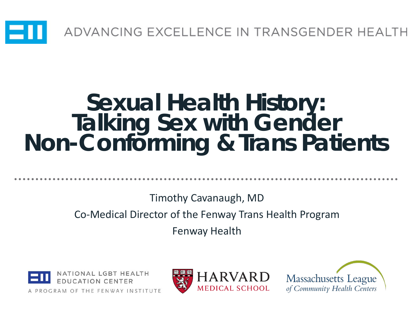

### **Sexual Health History: Talking Sex with Gender Non-Conforming & Trans Patients**

Timothy Cavanaugh, MD

Co-Medical Director of the Fenway Trans Health Program

Fenway Health





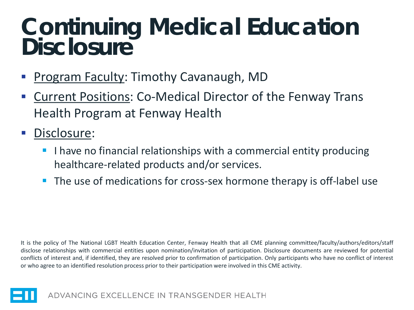### **Continuing Medical Education Disclosure**

- Program Faculty: Timothy Cavanaugh, MD
- Current Positions: Co-Medical Director of the Fenway Trans Health Program at Fenway Health
- Disclosure:
	- $\blacksquare$  I have no financial relationships with a commercial entity producing healthcare-related products and/or services.
	- The use of medications for cross-sex hormone therapy is off-label use

It is the policy of The National LGBT Health Education Center, Fenway Health that all CME planning committee/faculty/authors/editors/staff disclose relationships with commercial entities upon nomination/invitation of participation. Disclosure documents are reviewed for potential conflicts of interest and, if identified, they are resolved prior to confirmation of participation. Only participants who have no conflict of interest or who agree to an identified resolution process prior to their participation were involved in this CME activity.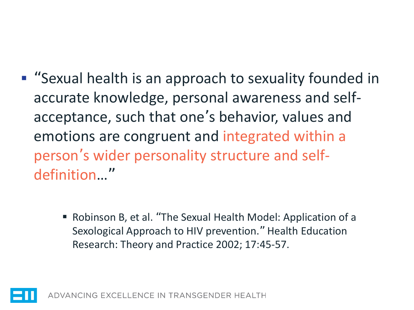- "Sexual health is an approach to sexuality founded in accurate knowledge, personal awareness and selfacceptance, such that one's behavior, values and emotions are congruent and integrated within a person's wider personality structure and selfdefinition…"
	- Robinson B, et al. "The Sexual Health Model: Application of a Sexological Approach to HIV prevention." Health Education Research: Theory and Practice 2002; 17:45-57.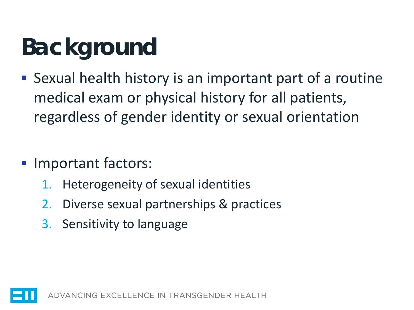# **Background**

- Sexual health history is an important part of a routine medical exam or physical history for all patients, regardless of gender identity or sexual orientation
- **Important factors:** 
	- 1. Heterogeneity of sexual identities
	- 2. Diverse sexual partnerships & practices
	- 3. Sensitivity to language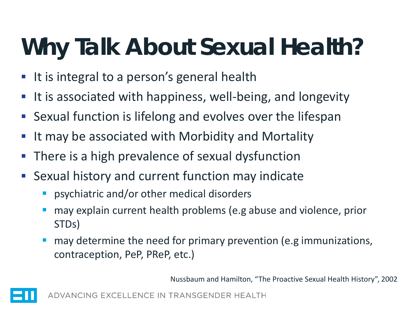# **Why Talk About Sexual Health?**

- It is integral to a person's general health
- It is associated with happiness, well-being, and longevity
- Sexual function is lifelong and evolves over the lifespan
- It may be associated with Morbidity and Mortality
- There is a high prevalence of sexual dysfunction
- Sexual history and current function may indicate
	- psychiatric and/or other medical disorders
	- may explain current health problems (e.g abuse and violence, prior STDs)
	- may determine the need for primary prevention (e.g immunizations, contraception, PeP, PReP, etc.)

Nussbaum and Hamilton, "The Proactive Sexual Health History", 2002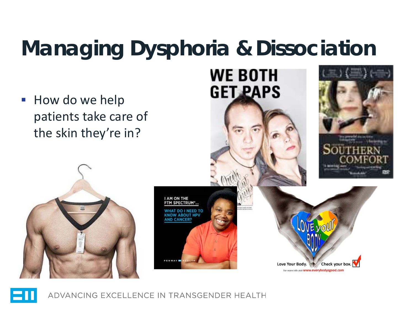### **Managing Dysphoria & Dissociation**

**How do we help** patients take care of the skin they're in?





**WE BOTH** 

**GET PAPS** 

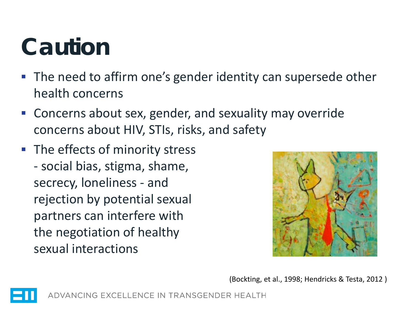## **Caution**

- **The need to affirm one's gender identity can supersede other** health concerns
- Concerns about sex, gender, and sexuality may override concerns about HIV, STIs, risks, and safety
- The effects of minority stress - social bias, stigma, shame, secrecy, loneliness - and rejection by potential sexual partners can interfere with the negotiation of healthy sexual interactions



(Bockting, et al., 1998; Hendricks & Testa, 2012 )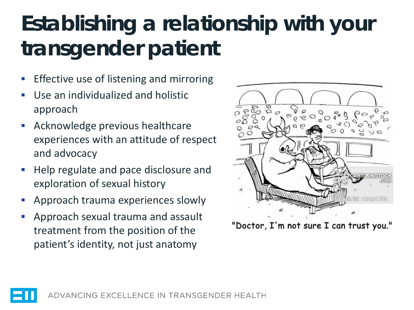### **Establishing a relationship with your transgender patient**

- Effective use of listening and mirroring
- Use an individualized and holistic approach
- Acknowledge previous healthcare experiences with an attitude of respect and advocacy
- Help regulate and pace disclosure and exploration of sexual history
- Approach trauma experiences slowly
- Approach sexual trauma and assault treatment from the position of the patient's identity, not just anatomy



"Doctor, I'm not sure I can trust you."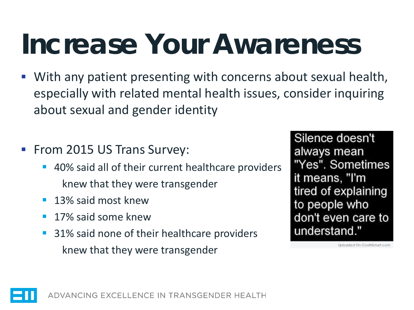# **Increase Your Awareness**

- With any patient presenting with concerns about sexual health, especially with related mental health issues, consider inquiring about sexual and gender identity
- **From 2015 US Trans Survey:** 
	- 40% said all of their current healthcare providers knew that they were transgender
	- **13% said most knew**
	- **17% said some knew**
	- 31% said none of their healthcare providers knew that they were transgender

Silence doesn't always mean "Yes". Sometimes it means, "I'm tired of explaining to people who don't even care to understand."

inioaded On CoolNSmart.com

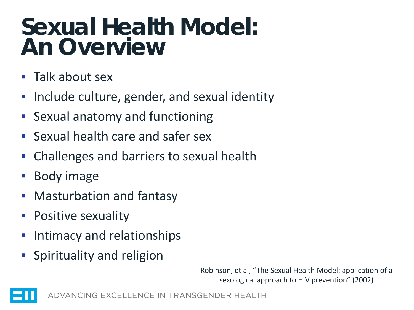### **Sexual Health Model: An Overview**

- Talk about sex
- Include culture, gender, and sexual identity
- Sexual anatomy and functioning
- Sexual health care and safer sex
- Challenges and barriers to sexual health
- Body image
- Masturbation and fantasy
- Positive sexuality
- Intimacy and relationships
- Spirituality and religion

Robinson, et al, "The Sexual Health Model: application of a sexological approach to HIV prevention" (2002)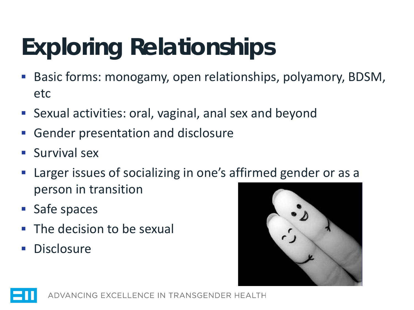# **Exploring Relationships**

- Basic forms: monogamy, open relationships, polyamory, BDSM, etc
- Sexual activities: oral, vaginal, anal sex and beyond
- Gender presentation and disclosure
- Survival sex
- Larger issues of socializing in one's affirmed gender or as a person in transition
- **Safe spaces**
- The decision to be sexual
- **Disclosure**

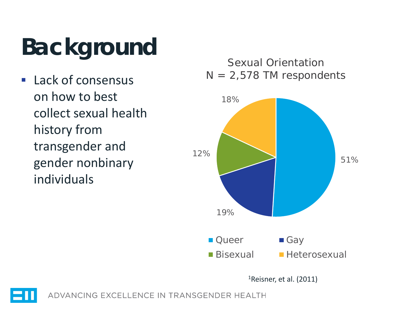# **Background**

 Lack of consensus on how to best collect sexual health history from transgender and gender nonbinary individuals

Sexual Orientation  $N = 2,578$  TM respondents



1Reisner, et al. (2011)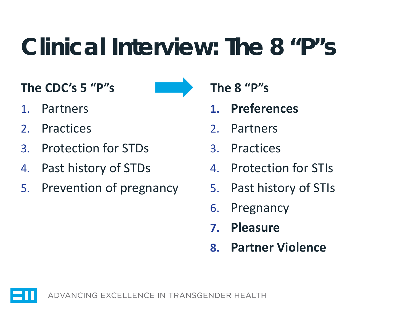## **Clinical Interview: The 8 "P"s**

**The CDC's 5 "P"s**

- 1. Partners
- 2. Practices
- 3. Protection for STDs
- 4. Past history of STDs
- 5. Prevention of pregnancy

**The 8 "P"s**

- **1. Preferences**
- 2. Partners
- 3. Practices
- 4. Protection for STIs
- 5. Past history of STIs
- 6. Pregnancy
- **7. Pleasure**
- **8. Partner Violence**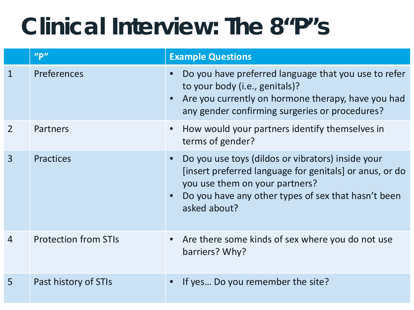## **Clinical Interview: The 8"P"s**

|                | ''P''                       | <b>Example Questions</b>                                                                                                                                                                                              |
|----------------|-----------------------------|-----------------------------------------------------------------------------------------------------------------------------------------------------------------------------------------------------------------------|
| 1              | <b>Preferences</b>          | Do you have preferred language that you use to refer<br>to your body (i.e., genitals)?<br>Are you currently on hormone therapy, have you had<br>any gender confirming surgeries or procedures?                        |
|                | Partners                    | How would your partners identify themselves in<br>terms of gender?                                                                                                                                                    |
| $\overline{3}$ | <b>Practices</b>            | Do you use toys (dildos or vibrators) inside your<br>[insert preferred language for genitals] or anus, or do<br>you use them on your partners?<br>Do you have any other types of sex that hasn't been<br>asked about? |
| 4              | <b>Protection from STIs</b> | Are there some kinds of sex where you do not use<br>barriers? Why?                                                                                                                                                    |
| 5              | Past history of STIs        | If yes Do you remember the site?                                                                                                                                                                                      |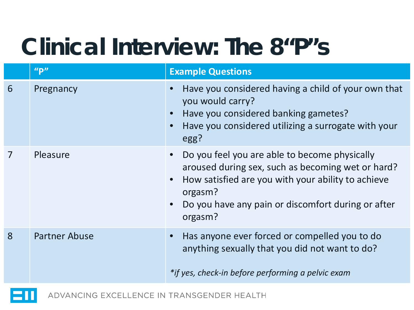## **Clinical Interview: The 8"P"s**

|   | ''P''                | <b>Example Questions</b>                                                                                                                                                                                                             |
|---|----------------------|--------------------------------------------------------------------------------------------------------------------------------------------------------------------------------------------------------------------------------------|
| 6 | Pregnancy            | Have you considered having a child of your own that<br>you would carry?<br>Have you considered banking gametes?<br>Have you considered utilizing a surrogate with your<br>egg?                                                       |
|   | Pleasure             | Do you feel you are able to become physically<br>aroused during sex, such as becoming wet or hard?<br>How satisfied are you with your ability to achieve<br>orgasm?<br>Do you have any pain or discomfort during or after<br>orgasm? |
| 8 | <b>Partner Abuse</b> | Has anyone ever forced or compelled you to do<br>anything sexually that you did not want to do?<br>*if yes, check-in before performing a pelvic exam                                                                                 |

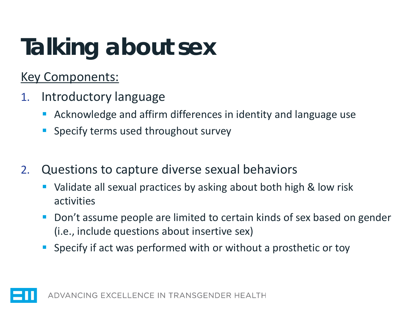# **Talking about sex**

#### Key Components:

- 1. Introductory language
	- Acknowledge and affirm differences in identity and language use
	- Specify terms used throughout survey
- 2. Questions to capture diverse sexual behaviors
	- Validate all sexual practices by asking about both high & low risk activities
	- Don't assume people are limited to certain kinds of sex based on gender (i.e., include questions about insertive sex)
	- Specify if act was performed with or without a prosthetic or toy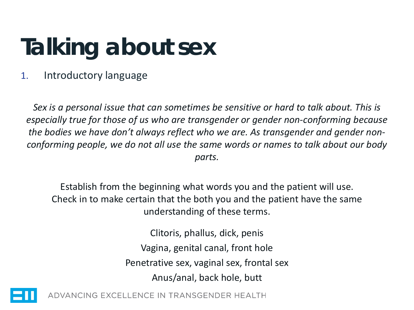# **Talking about sex**

#### 1. Introductory language

*Sex is a personal issue that can sometimes be sensitive or hard to talk about. This is especially true for those of us who are transgender or gender non-conforming because the bodies we have don't always reflect who we are. As transgender and gender nonconforming people, we do not all use the same words or names to talk about our body parts.*

Establish from the beginning what words you and the patient will use. Check in to make certain that the both you and the patient have the same understanding of these terms.

> Clitoris, phallus, dick, penis Vagina, genital canal, front hole Penetrative sex, vaginal sex, frontal sex Anus/anal, back hole, butt

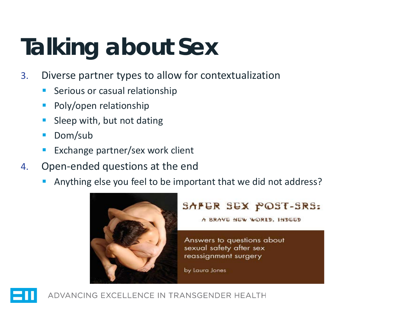# **Talking about Sex**

- 3. Diverse partner types to allow for contextualization
	- Serious or casual relationship
	- Poly/open relationship
	- Sleep with, but not dating
	- Dom/sub
	- Exchange partner/sex work client
- 4. Open-ended questions at the end
	- Anything else you feel to be important that we did not address?



#### SAFER SEX POST-SRS:

A BRAVE NEW WORLD. INDEED

Answers to questions about sexual safety after sex reassignment surgery

by Laura Jones

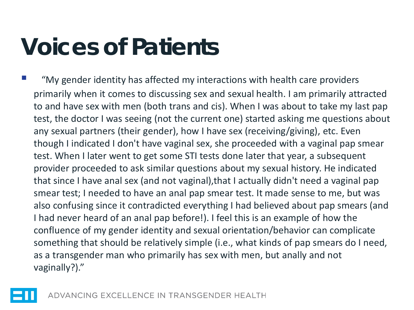## **Voices of Patients**

 "My gender identity has affected my interactions with health care providers primarily when it comes to discussing sex and sexual health. I am primarily attracted to and have sex with men (both trans and cis). When I was about to take my last pap test, the doctor I was seeing (not the current one) started asking me questions about any sexual partners (their gender), how I have sex (receiving/giving), etc. Even though I indicated I don't have vaginal sex, she proceeded with a vaginal pap smear test. When I later went to get some STI tests done later that year, a subsequent provider proceeded to ask similar questions about my sexual history. He indicated that since I have anal sex (and not vaginal),that I actually didn't need a vaginal pap smear test; I needed to have an anal pap smear test. It made sense to me, but was also confusing since it contradicted everything I had believed about pap smears (and I had never heard of an anal pap before!). I feel this is an example of how the confluence of my gender identity and sexual orientation/behavior can complicate something that should be relatively simple (i.e., what kinds of pap smears do I need, as a transgender man who primarily has sex with men, but anally and not vaginally?)."

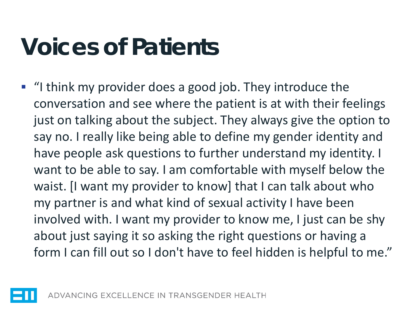## **Voices of Patients**

 "I think my provider does a good job. They introduce the conversation and see where the patient is at with their feelings just on talking about the subject. They always give the option to say no. I really like being able to define my gender identity and have people ask questions to further understand my identity. I want to be able to say. I am comfortable with myself below the waist. [I want my provider to know] that I can talk about who my partner is and what kind of sexual activity I have been involved with. I want my provider to know me, I just can be shy about just saying it so asking the right questions or having a form I can fill out so I don't have to feel hidden is helpful to me."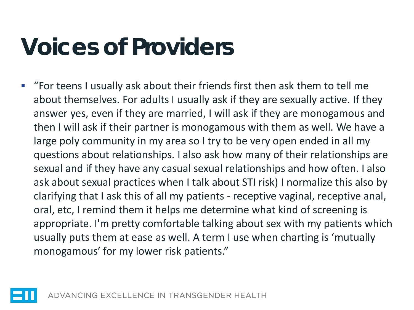## **Voices of Providers**

 "For teens I usually ask about their friends first then ask them to tell me about themselves. For adults I usually ask if they are sexually active. If they answer yes, even if they are married, I will ask if they are monogamous and then I will ask if their partner is monogamous with them as well. We have a large poly community in my area so I try to be very open ended in all my questions about relationships. I also ask how many of their relationships are sexual and if they have any casual sexual relationships and how often. I also ask about sexual practices when I talk about STI risk) I normalize this also by clarifying that I ask this of all my patients - receptive vaginal, receptive anal, oral, etc, I remind them it helps me determine what kind of screening is appropriate. I'm pretty comfortable talking about sex with my patients which usually puts them at ease as well. A term I use when charting is 'mutually monogamous' for my lower risk patients."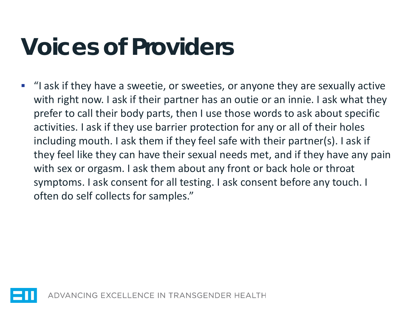## **Voices of Providers**

 "I ask if they have a sweetie, or sweeties, or anyone they are sexually active with right now. I ask if their partner has an outie or an innie. I ask what they prefer to call their body parts, then I use those words to ask about specific activities. I ask if they use barrier protection for any or all of their holes including mouth. I ask them if they feel safe with their partner(s). I ask if they feel like they can have their sexual needs met, and if they have any pain with sex or orgasm. I ask them about any front or back hole or throat symptoms. I ask consent for all testing. I ask consent before any touch. I often do self collects for samples."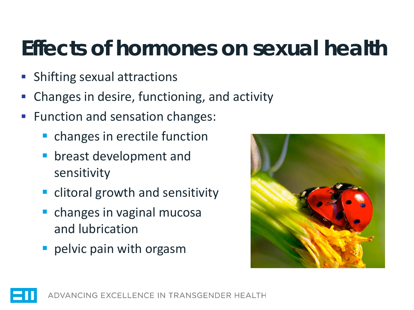### **Effects of hormones on sexual health**

- **Shifting sexual attractions**
- Changes in desire, functioning, and activity
- Function and sensation changes:
	- **changes in erectile function**
	- breast development and sensitivity
	- **Example 1** clitoral growth and sensitivity
	- **Constanges in vaginal mucosally** and lubrication
	- **Paragelyic pain with orgasm**



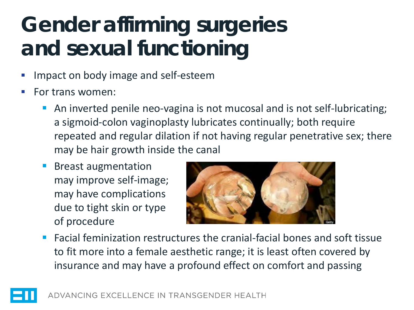### **Gender affirming surgeries and sexual functioning**

- Impact on body image and self-esteem
- For trans women:
	- An inverted penile neo-vagina is not mucosal and is not self-lubricating; a sigmoid-colon vaginoplasty lubricates continually; both require repeated and regular dilation if not having regular penetrative sex; there may be hair growth inside the canal
	- **Breast augmentation** may improve self-image; may have complications due to tight skin or type of procedure



■ Facial feminization restructures the cranial-facial bones and soft tissue to fit more into a female aesthetic range; it is least often covered by insurance and may have a profound effect on comfort and passing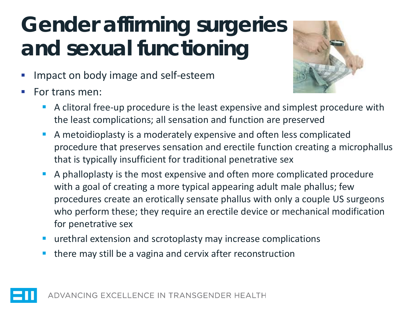### **Gender affirming surgeries and sexual functioning**

- Impact on body image and self-esteem
- For trans men:



- A clitoral free-up procedure is the least expensive and simplest procedure with the least complications; all sensation and function are preserved
- A metoidioplasty is a moderately expensive and often less complicated procedure that preserves sensation and erectile function creating a microphallus that is typically insufficient for traditional penetrative sex
- A phalloplasty is the most expensive and often more complicated procedure with a goal of creating a more typical appearing adult male phallus; few procedures create an erotically sensate phallus with only a couple US surgeons who perform these; they require an erectile device or mechanical modification for penetrative sex
- urethral extension and scrotoplasty may increase complications
- there may still be a vagina and cervix after reconstruction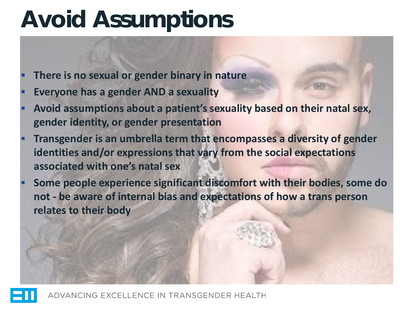## **Avoid Assumptions**

- **There is no sexual or gender binary in nature**
- **Everyone has a gender AND a sexuality**
- **Avoid assumptions about a patient's sexuality based on their natal sex, gender identity, or gender presentation**
- **Transgender is an umbrella term that encompasses a diversity of gender identities and/or expressions that vary from the social expectations associated with one's natal sex**
- **Some people experience significant discomfort with their bodies, some do not - be aware of internal bias and expectations of how a trans person relates to their body**